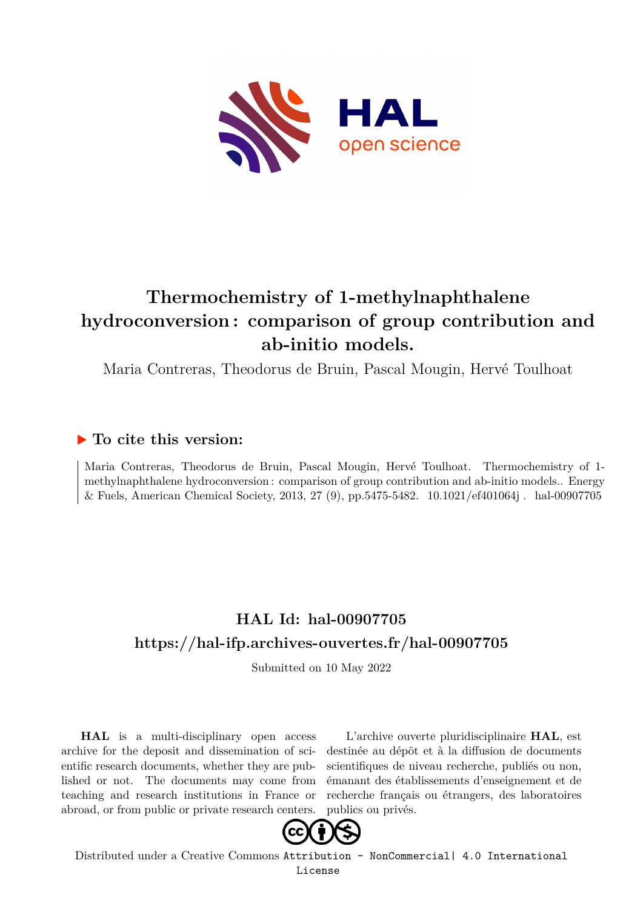

# **Thermochemistry of 1-methylnaphthalene hydroconversion : comparison of group contribution and ab-initio models.**

Maria Contreras, Theodorus de Bruin, Pascal Mougin, Hervé Toulhoat

## **To cite this version:**

Maria Contreras, Theodorus de Bruin, Pascal Mougin, Hervé Toulhoat. Thermochemistry of 1 methylnaphthalene hydroconversion : comparison of group contribution and ab-initio models.. Energy & Fuels, American Chemical Society, 2013, 27 (9), pp.5475-5482. 10.1021/ef401064j. hal-00907705

# **HAL Id: hal-00907705 <https://hal-ifp.archives-ouvertes.fr/hal-00907705>**

Submitted on 10 May 2022

**HAL** is a multi-disciplinary open access archive for the deposit and dissemination of scientific research documents, whether they are published or not. The documents may come from teaching and research institutions in France or abroad, or from public or private research centers.

L'archive ouverte pluridisciplinaire **HAL**, est destinée au dépôt et à la diffusion de documents scientifiques de niveau recherche, publiés ou non, émanant des établissements d'enseignement et de recherche français ou étrangers, des laboratoires publics ou privés.



Distributed under a Creative Commons [Attribution - NonCommercial| 4.0 International](http://creativecommons.org/licenses/by-nc/4.0/) [License](http://creativecommons.org/licenses/by-nc/4.0/)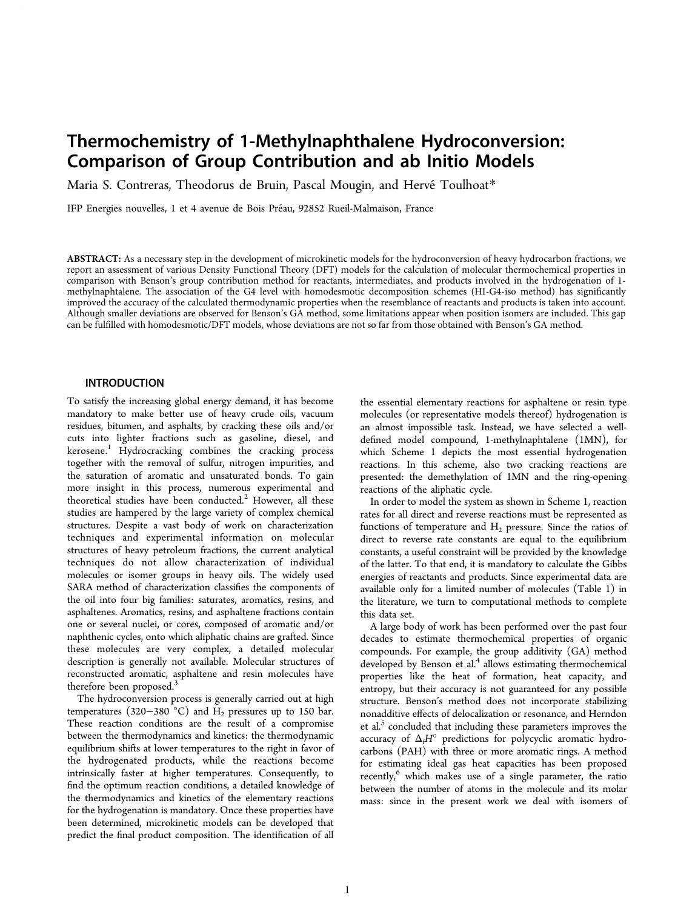## Thermochemistry of 1‑Methylnaphthalene Hydroconversion: Comparison of Group Contribution and ab Initio Models

Maria S. Contreras, Theodorus de Bruin, Pascal Mougin, and Hervé Toulhoat\*

IFP Energies nouvelles, 1 et 4 avenue de Bois Preau, 92852 Rueil-Malmaison, France ́

**ABSTRACT:** As a necessary step in the development of microkinetic models for the hydroconversion of heavy hydrocarbon fractions, we report an assessment of various Density Functional Theory (DFT) models for the calculation of molecular thermochemical properties in comparison with Benson's group contribution method for reactants, intermediates, and products involved in the hydrogenation of 1 methylnaphtalene. The association of the G4 level with homodesmotic decomposition schemes (HI-G4-iso method) has significantly improved the accuracy of the calculated thermodynamic properties when the resemblance of reactants and products is taken into account. Although smaller deviations are observed for Benson's GA method, some limitations appear when position isomers are included. This gap can be fulfilled with homodesmotic/DFT models, whose deviations are not so far from those obtained with Benson's GA method.

## INTRODUCTION

To satisfy the increasing global energy demand, it has become mandatory to make better use of heavy crude oils, vacuum residues, bitumen, and asphalts, by cracking these oils and/or cuts into lighter fractions such as gasoline, diesel, and  $k$ erosene.<sup>1</sup> Hydrocracking combines the cracking process together with the removal of sulfur, nitrogen impurities, and the saturation of aromatic and unsaturated bonds. To gain more insight in this process, numerous experimental and theoretical studies have been conducted. $2$  However, all these studies are hampered by the large variety of complex chemical structures. Despite a vast body of work on characterization techniques and experimental information on molecular structures of heavy petroleum fractions, the current analytical techniques do not allow characterization of individual molecules or isomer groups in heavy oils. The widely used SARA method of characterization classifies the components of the oil into four big families: saturates, aromatics, resins, and asphaltenes. Aromatics, resins, and asphaltene fractions contain one or several nuclei, or cores, composed of aromatic and/or naphthenic cycles, onto which aliphatic chains are grafted. Since these molecules are very complex, a detailed molecular description is generally not available. Molecular structures of reconstructed aromatic, asphaltene and resin molecules have therefore been proposed.<sup>3</sup>

The hydroconversion process is generally carried out at high temperatures (320–380 °C) and H<sub>2</sub> pressures up to 150 bar. These reaction conditions are the result of a compromise between the thermodynamics and kinetics: the thermodynamic equilibrium shifts at lower temperatures to the right in favor of the hydrogenated products, while the reactions become intrinsically faster at higher temperatures. Consequently, to find the optimum reaction conditions, a detailed knowledge of the thermodynamics and kinetics of the elementary reactions for the hydrogenation is mandatory. Once these properties have been determined, microkinetic models can be developed that predict the final product composition. The identification of all

the essential elementary reactions for asphaltene or resin type molecules (or representative models thereof) hydrogenation is an almost impossible task. Instead, we have selected a welldefined model compound, 1-methylnaphtalene (1MN), for which Scheme 1 depicts the most essential hydrogenation reactions. In this scheme, also two cracking reactions are presented: the demethylation of 1MN and the ring-opening reactions of the aliphatic cycle.

In order to model the system as shown in Scheme 1, reaction rates for all direct and reverse reactions must be represented as functions of temperature and  $H_2$  pressure. Since the ratios of direct to reverse rate constants are equal to the equilibrium constants, a useful constraint will be provided by the knowledge of the latter. To that end, it is mandatory to calculate the Gibbs energies of reactants and products. Since experimental data are available only for a limited number of molecules (Table 1) in the literature, we turn to computational methods to complete this data set.

A large body of work has been performed over the past four decades to estimate thermochemical properties of organic compounds. For example, the group additivity (GA) method developed by Benson et al.<sup>4</sup> allows estimating thermochemical properties like the heat of formation, heat capacity, and entropy, but their accuracy is not guaranteed for any possible structure. Benson's method does not incorporate stabilizing nonadditive effects of delocalization or resonance, and Herndon et al.<sup>5</sup> concluded that including these parameters improves the accuracy of  $\Delta_f H^{\circ}$  predictions for polycyclic aromatic hydrocarbons (PAH) with three or more aromatic rings. A method for estimating ideal gas heat capacities has been proposed recently,<sup>6</sup> which makes use of a single parameter, the ratio between the number of atoms in the molecule and its molar mass: since in the present work we deal with isomers of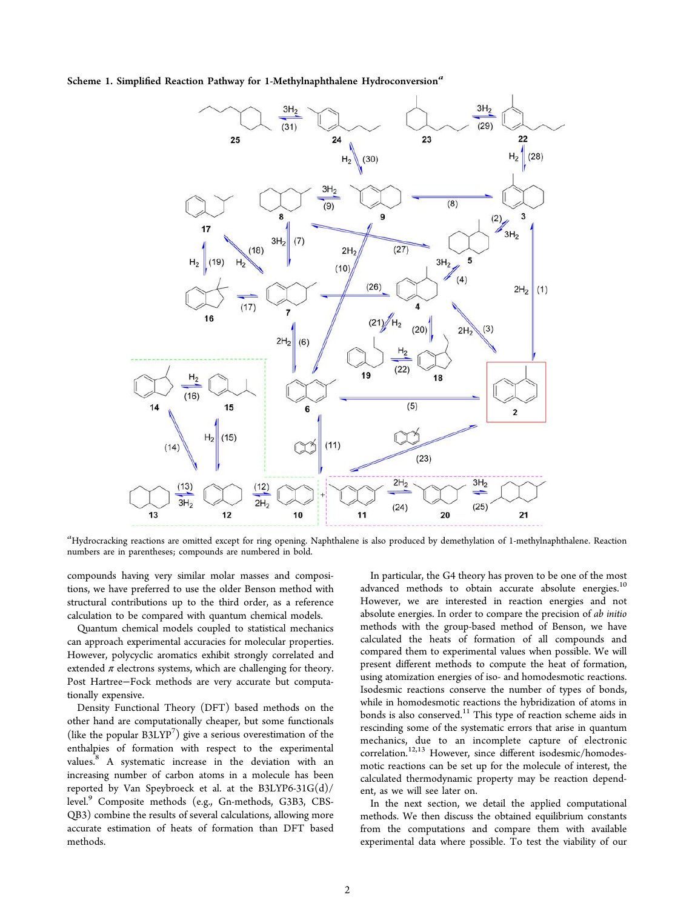Scheme 1. Simplified Reaction Pathway for 1-Methylnaphthalene Hydroconversion<sup>a</sup>



aHydrocracking reactions are omitted except for ring opening. Naphthalene is also produced by demethylation of 1-methylnaphthalene. Reaction numbers are in parentheses; compounds are numbered in bold.

compounds having very similar molar masses and compositions, we have preferred to use the older Benson method with structural contributions up to the third order, as a reference calculation to be compared with quantum chemical models.

Quantum chemical models coupled to statistical mechanics can approach experimental accuracies for molecular properties. However, polycyclic aromatics exhibit strongly correlated and extended  $\pi$  electrons systems, which are challenging for theory. Post Hartree−Fock methods are very accurate but computationally expensive.

Density Functional Theory (DFT) based methods on the other hand are computationally cheaper, but some functionals (like the popular  $B3LYP<sup>7</sup>$ ) give a serious overestimation of the enthalpies of formation with respect to the experimental values.<sup>8</sup> A systematic increase in the deviation with an increasing number of carbon atoms in a molecule has been reported by Van Speybroeck et al. at the B3LYP6-31G(d)/ level.<sup>9</sup> Composite methods (e.g., Gn-methods, G3B3, CBS-QB3) combine the results of several calculations, allowing more accurate estimation of heats of formation than DFT based methods.

In particular, the G4 theory has proven to be one of the most advanced methods to obtain accurate absolute energies.<sup>10</sup> However, we are interested in reaction energies and not absolute energies. In order to compare the precision of ab initio methods with the group-based method of Benson, we have calculated the heats of formation of all compounds and compared them to experimental values when possible. We will present different methods to compute the heat of formation, using atomization energies of iso- and homodesmotic reactions. Isodesmic reactions conserve the number of types of bonds, while in homodesmotic reactions the hybridization of atoms in bonds is also conserved.<sup>11</sup> This type of reaction scheme aids in rescinding some of the systematic errors that arise in quantum mechanics, due to an incomplete capture of electronic correlation.<sup>12,13</sup> However, since different isodesmic/homodesmotic reactions can be set up for the molecule of interest, the calculated thermodynamic property may be reaction dependent, as we will see later on.

In the next section, we detail the applied computational methods. We then discuss the obtained equilibrium constants from the computations and compare them with available experimental data where possible. To test the viability of our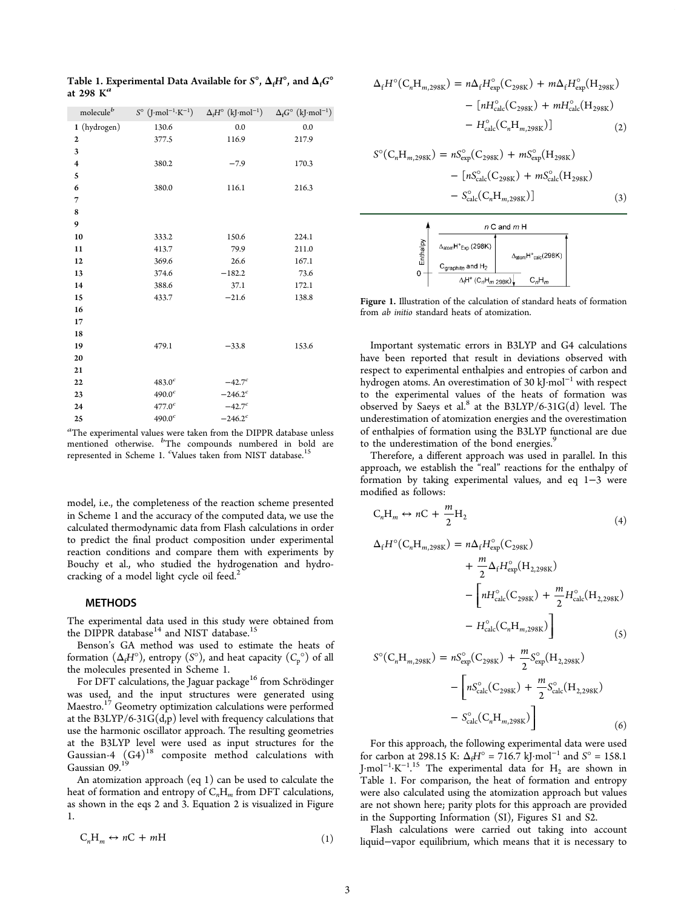| molecule <sup>b</sup>   |                    | $S^{\circ}$ $(J \cdot mol^{-1} \cdot K^{-1})$ $\Delta_{f}H^{\circ}$ $(kJ \cdot mol^{-1})$ $\Delta_{f}G^{\circ}$ $(kJ \cdot mol^{-1})$ |       |
|-------------------------|--------------------|---------------------------------------------------------------------------------------------------------------------------------------|-------|
| 1 (hydrogen)            | 130.6              | 0.0                                                                                                                                   | 0.0   |
| $\mathbf{2}$            | 377.5              | 116.9                                                                                                                                 | 217.9 |
| 3                       |                    |                                                                                                                                       |       |
| $\overline{\mathbf{4}}$ | 380.2              | $-7.9$                                                                                                                                | 170.3 |
| 5                       |                    |                                                                                                                                       |       |
| 6                       | 380.0              | 116.1                                                                                                                                 | 216.3 |
| 7                       |                    |                                                                                                                                       |       |
| 8                       |                    |                                                                                                                                       |       |
| 9                       |                    |                                                                                                                                       |       |
| 10                      | 333.2              | 150.6                                                                                                                                 | 224.1 |
| 11                      | 413.7              | 79.9                                                                                                                                  | 211.0 |
| 12                      | 369.6              | 26.6                                                                                                                                  | 167.1 |
| 13                      | 374.6              | $-182.2$                                                                                                                              | 73.6  |
| 14                      | 388.6              | 37.1                                                                                                                                  | 172.1 |
| 15                      | 433.7              | $-21.6$                                                                                                                               | 138.8 |
| 16                      |                    |                                                                                                                                       |       |
| 17                      |                    |                                                                                                                                       |       |
| 18                      |                    |                                                                                                                                       |       |
| 19                      | 479.1              | $-33.8$                                                                                                                               | 153.6 |
| 20                      |                    |                                                                                                                                       |       |
| 21                      |                    |                                                                                                                                       |       |
| 22                      | 483.0 <sup>c</sup> | $-42.7^{c}$                                                                                                                           |       |
| 23                      | 490.0 <sup>c</sup> | $-246.2^{c}$                                                                                                                          |       |
| 24                      | $477.0^{c}$        | $-42.7^{c}$                                                                                                                           |       |
| 25                      | 490.0 <sup>c</sup> | $-246.2^{c}$                                                                                                                          |       |

Table 1. Experimental Data Available for  $S^{\circ}$ ,  $\Delta_{\alpha}H^{\circ}$ , and  $\Delta_{\alpha}G^{\circ}$ at 298  $K^a$ 

a The experimental values were taken from the DIPPR database unless mentioned otherwise. <sup>b</sup>The compounds numbered in bold are represented in Scheme 1. <sup>c</sup>Values taken from NIST database.<sup>15</sup>

model, i.e., the completeness of the reaction scheme presented in Scheme 1 and the accuracy of the computed data, we use the calculated thermodynamic data from Flash calculations in order to predict the final product composition under experimental reaction conditions and compare them with experiments by Bouchy et al., who studied the hydrogenation and hydrocracking of a model light cycle oil feed.<sup>2</sup>

## **METHODS**

The experimental data used in this study were obtained from the DIPPR database<sup>14</sup> and NIST database.<sup>15</sup>

Benson's GA method was used to estimate the heats of formation  $(\Delta_{\textrm{f}}H^\circ)$ , entropy  $(S^\circ)$ , and heat capacity  $(C_\textrm{p}^{\circ\,\circ})$  of all the molecules presented in Scheme 1.

For DFT calculations, the Jaguar package  $^{16}$  from Schrödinger was used, and the input structures were generated using Maestro.<sup>17</sup> Geometry optimization calculations were performed at the B3LYP/6-31G $(d,p)$  level with frequency calculations that use the harmonic oscillator approach. The resulting geometries at the B3LYP level were used as input structures for the Gaussian-4  $(G4)^{18}$  composite method calculations with Gaussian  $09.<sup>19</sup>$ 

An atomization approach (eq 1) can be used to calculate the heat of formation and entropy of  $C_nH_m$  from DFT calculations, as shown in the eqs 2 and 3. Equation 2 is visualized in Figure 1.

$$
C_nH_m \leftrightarrow nC + mH \tag{1}
$$

$$
\Delta_{f}H^{\circ}(C_{n}H_{m,298K}) = n\Delta_{f}H_{\text{exp}}^{\circ}(C_{298K}) + m\Delta_{f}H_{\text{exp}}^{\circ}(H_{298K}) - [nH_{\text{calc}}^{\circ}(C_{298K}) + mH_{\text{calc}}^{\circ}(H_{298K}) - H_{\text{calc}}^{\circ}(C_{n}H_{m,298K})]
$$
(2)

$$
S^{\circ}(C_nH_{m,298K}) = nS_{\text{exp}}^{\circ}(C_{298K}) + mS_{\text{exp}}^{\circ}(H_{298K}) - [nS_{\text{calc}}^{\circ}(C_{298K}) + mS_{\text{calc}}^{\circ}(H_{298K}) - S_{\text{calc}}^{\circ}(C_nH_{m,298K})]
$$
(3)



Figure 1. Illustration of the calculation of standard heats of formation from ab initio standard heats of atomization.

Important systematic errors in B3LYP and G4 calculations have been reported that result in deviations observed with respect to experimental enthalpies and entropies of carbon and hydrogen atoms. An overestimation of 30 kJ·mol<sup>−</sup><sup>1</sup> with respect to the experimental values of the heats of formation was observed by Saeys et al.<sup>8</sup> at the B3LYP/6-31G(d) level. The underestimation of atomization energies and the overestimation of enthalpies of formation using the B3LYP functional are due to the underestimation of the bond energies.<sup>9</sup>

Therefore, a different approach was used in parallel. In this approach, we establish the "real" reactions for the enthalpy of formation by taking experimental values, and eq 1−3 were modified as follows:

$$
C_nH_m \leftrightarrow nC + \frac{m}{2}H_2 \tag{4}
$$

$$
\Delta_{f}H^{\circ}(C_{n}H_{m,298K}) = n\Delta_{f}H^{\circ}_{exp}(C_{298K}) + \frac{m}{2}\Delta_{f}H^{\circ}_{exp}(H_{2,298K}) - \left[nH^{\circ}_{calc}(C_{298K}) + \frac{m}{2}H^{\circ}_{calc}(H_{2,298K}) - H^{\circ}_{calc}(C_{n}H_{m,298K})\right]
$$
\n(5)

$$
S^{\circ}(C_nH_{m,298K}) = nS_{exp}^{\circ}(C_{298K}) + \frac{m}{2}S_{exp}^{\circ}(H_{2,298K}) - \left[nS_{calc}^{\circ}(C_{298K}) + \frac{m}{2}S_{calc}^{\circ}(H_{2,298K}) - S_{calc}^{\circ}(C_nH_{m,298K})\right]
$$
(6)

For this approach, the following experimental data were used for carbon at 298.15 K:  $\Delta_f H^{\circ} = 716.7 \text{ kJ} \cdot \text{mol}^{-1}$  and  $S^{\circ} = 158.1$ J·mol<sup>−</sup><sup>1</sup> ·K −1 <sup>15</sup> The experimental data for H<sup>2</sup> are shown in . Table 1. For comparison, the heat of formation and entropy were also calculated using the atomization approach but values are not shown here; parity plots for this approach are provided in the Supporting Information (SI), Figures S1 and S2.

Flash calculations were carried out taking into account liquid−vapor equilibrium, which means that it is necessary to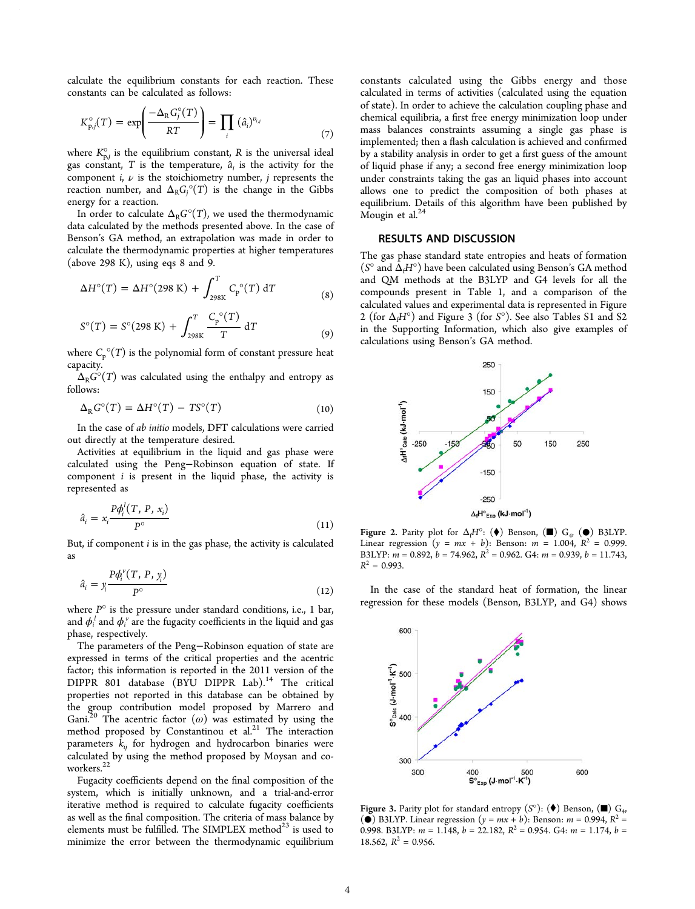calculate the equilibrium constants for each reaction. These constants can be calculated as follows:

$$
K_{p,j}^{\circ}(T) = \exp\left(\frac{-\Delta_{R}G_{j}^{\circ}(T)}{RT}\right) = \prod_{i} \left(\hat{a}_{i}\right)^{v_{i,j}} \tag{7}
$$

where  $K_{\text{p},j}^{\circ}$  is the equilibrium constant, R is the universal ideal gas constant, T is the temperature,  $\hat{a}_i$  is the activity for the component *i*,  $\nu$  is the stoichiometry number, *j* represents the reaction number, and  $\Delta_{\rm R} G_j^{\circ}(T)$  is the change in the Gibbs energy for a reaction.

In order to calculate  $\Delta_R G^{\circ}(T)$ , we used the thermodynamic data calculated by the methods presented above. In the case of Benson's GA method, an extrapolation was made in order to calculate the thermodynamic properties at higher temperatures (above 298 K), using eqs 8 and 9.

$$
\Delta H^{\circ}(T) = \Delta H^{\circ}(298 \text{ K}) + \int_{298 \text{K}}^{T} C_{\text{p}}^{\circ}(T) dT \tag{8}
$$

$$
S^{\circ}(T) = S^{\circ}(298 \text{ K}) + \int_{298 \text{K}}^{T} \frac{C_{p}^{\circ}(T)}{T} dT \tag{9}
$$

where  $C_p^{\circ}(T)$  is the polynomial form of constant pressure heat capacity.

 $\Delta_R G^{\circ}(T)$  was calculated using the enthalpy and entropy as follows:

$$
\Delta_{\rm R} G^{\circ}(T) = \Delta H^{\circ}(T) - TS^{\circ}(T) \tag{10}
$$

In the case of ab initio models, DFT calculations were carried out directly at the temperature desired.

Activities at equilibrium in the liquid and gas phase were calculated using the Peng−Robinson equation of state. If component  $i$  is present in the liquid phase, the activity is represented as

$$
\hat{a}_i = x_i \frac{P \phi_i^l(T, P, x_i)}{P^\circ} \tag{11}
$$

But, if component  $i$  is in the gas phase, the activity is calculated as

$$
\hat{a}_i = y_i \frac{P \phi_i^{\nu} (T, P, y_i)}{P^{\circ}}
$$
\n(12)

where  $P^{\circ}$  is the pressure under standard conditions, i.e., 1 bar, and  $\phi_i^l$  and  $\phi_i^v$  are the fugacity coefficients in the liquid and gas phase, respectively.

The parameters of the Peng−Robinson equation of state are expressed in terms of the critical properties and the acentric factor; this information is reported in the 2011 version of the DIPPR 801 database (BYU DIPPR Lab).<sup>14</sup> The critical properties not reported in this database can be obtained by the group contribution model proposed by Marrero and Gani.<sup>20</sup> The acentric factor  $(\omega)$  was estimated by using the method proposed by Constantinou et al.<sup>21</sup> The interaction parameters  $k_{ii}$  for hydrogen and hydrocarbon binaries were calculated by using the method proposed by Moysan and coworkers.<sup>22</sup>

Fugacity coefficients depend on the final composition of the system, which is initially unknown, and a trial-and-error iterative method is required to calculate fugacity coefficients as well as the final composition. The criteria of mass balance by elements must be fulfilled. The SIMPLEX method<sup>23</sup> is used to minimize the error between the thermodynamic equilibrium

constants calculated using the Gibbs energy and those calculated in terms of activities (calculated using the equation of state). In order to achieve the calculation coupling phase and chemical equilibria, a first free energy minimization loop under mass balances constraints assuming a single gas phase is implemented; then a flash calculation is achieved and confirmed by a stability analysis in order to get a first guess of the amount of liquid phase if any; a second free energy minimization loop under constraints taking the gas an liquid phases into account allows one to predict the composition of both phases at equilibrium. Details of this algorithm have been published by Mougin et al. $^{24}$ 

#### RESULTS AND DISCUSSION

The gas phase standard state entropies and heats of formation ( $S^{\circ}$  and  $\Delta_{\rho}H^{\circ}$ ) have been calculated using Benson's GA method and QM methods at the B3LYP and G4 levels for all the compounds present in Table 1, and a comparison of the calculated values and experimental data is represented in Figure 2 (for  $\Delta_f H^{\circ}$ ) and Figure 3 (for S°). See also Tables S1 and S2 in the Supporting Information, which also give examples of calculations using Benson's GA method.



Figure 2. Parity plot for  $\Delta_{\text{f}}H^{\circ}$ : ( $\blacklozenge$ ) Benson, ( $\blacksquare$ ) G<sub>4</sub>, ( $\spadesuit$ ) B3LYP. Linear regression  $(y = mx + b)$ : Benson:  $m = 1.004$ ,  $R^2 = 0.999$ . B3LYP:  $m = 0.892$ ,  $b = 74.962$ ,  $R^2 = 0.962$ . G4:  $m = 0.939$ ,  $b = 11.743$ ,  $R^2 = 0.993$ .

In the case of the standard heat of formation, the linear regression for these models (Benson, B3LYP, and G4) shows



**Figure 3.** Parity plot for standard entropy  $(S^{\circ})$ :  $(\blacklozenge)$  Benson,  $(\blacksquare)$  G<sub>4</sub>, , ( $\bullet$ ) B3LYP. Linear regression ( $y = mx + b$ ): Benson:  $m = 0.994$ ,  $R^2 =$ 0.998. B3LYP:  $m = 1.148$ ,  $b = 22.182$ ,  $R^2 = 0.954$ . G4:  $m = 1.174$ ,  $b =$ 18.562,  $R^2 = 0.956$ .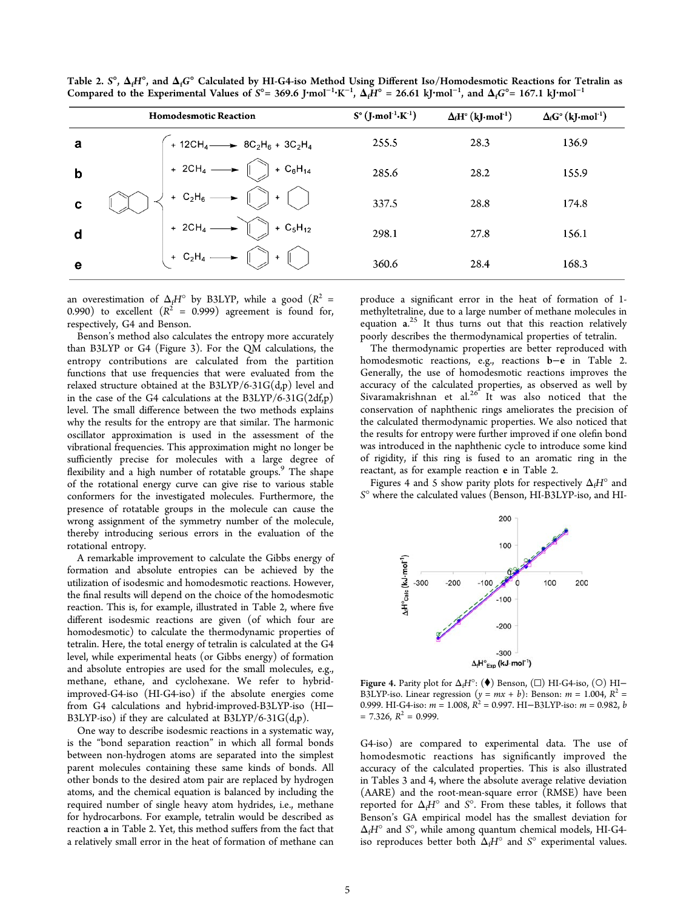|             | <b>Homodesmotic Reaction</b>                                                                                                                                                        | $S^{\circ}$ (J·mol <sup>-1</sup> ·K <sup>-1</sup> )<br>$\Delta_f H^{\circ}$ (kJ·mol <sup>-1</sup> ) |      | $\Delta_f$ G° (kJ·mol <sup>-1</sup> ) |
|-------------|-------------------------------------------------------------------------------------------------------------------------------------------------------------------------------------|-----------------------------------------------------------------------------------------------------|------|---------------------------------------|
| а           |                                                                                                                                                                                     | 255.5                                                                                               | 28.3 | 136.9                                 |
| $\mathbf b$ | + 12CH <sub>4</sub> $\rightarrow$ 8C <sub>2</sub> H <sub>6</sub> + 3C <sub>2</sub> H <sub>4</sub><br>+ 2CH <sub>4</sub> $\rightarrow$ $\begin{pmatrix} + & C_6H_{14} \end{pmatrix}$ | 285.6                                                                                               | 28.2 | 155.9                                 |
| C           | $]+$ $\bigcap$<br>+ $C_2H_6$ -                                                                                                                                                      | 337.5                                                                                               | 28.8 | 174.8                                 |
| d           | $\Big] + C_5H_{12}$<br>$+ 2CH4$ -                                                                                                                                                   | 298.1                                                                                               | 27.8 | 156.1                                 |
| е           | + $C_2H_4 \longrightarrow \begin{bmatrix}$<br>$\parallel$ + $\parallel$                                                                                                             | 360.6                                                                                               | 28.4 | 168.3                                 |

Table 2. S°,  $\Delta H^{\circ}$ , and  $\Delta G^{\circ}$  Calculated by HI-G4-iso Method Using Different Iso/Homodesmotic Reactions for Tetralin as Compared to the Experimental Values of  $S^{\circ}$  = 369.6 J·mol<sup>-1</sup>·K<sup>-1</sup>,  $\Delta_{\rm f}H^{\circ}$  = 26.61 kJ·mol<sup>-1</sup>, and  $\Delta_{\rm f}G^{\circ}$  = 167.1 kJ·mol<sup>-1</sup>

an overestimation of  $\Delta_f H^{\circ}$  by B3LYP, while a good ( $R^2$  = 0.990) to excellent  $(R^2 = 0.999)$  agreement is found for, respectively, G4 and Benson.

Benson's method also calculates the entropy more accurately than B3LYP or G4 (Figure 3). For the QM calculations, the entropy contributions are calculated from the partition functions that use frequencies that were evaluated from the relaxed structure obtained at the B3LYP/6-31G(d,p) level and in the case of the G4 calculations at the B3LYP/6-31G(2df,p) level. The small difference between the two methods explains why the results for the entropy are that similar. The harmonic oscillator approximation is used in the assessment of the vibrational frequencies. This approximation might no longer be sufficiently precise for molecules with a large degree of flexibility and a high number of rotatable groups.<sup>9</sup> The shape of the rotational energy curve can give rise to various stable conformers for the investigated molecules. Furthermore, the presence of rotatable groups in the molecule can cause the wrong assignment of the symmetry number of the molecule, thereby introducing serious errors in the evaluation of the rotational entropy.

A remarkable improvement to calculate the Gibbs energy of formation and absolute entropies can be achieved by the utilization of isodesmic and homodesmotic reactions. However, the final results will depend on the choice of the homodesmotic reaction. This is, for example, illustrated in Table 2, where five different isodesmic reactions are given (of which four are homodesmotic) to calculate the thermodynamic properties of tetralin. Here, the total energy of tetralin is calculated at the G4 level, while experimental heats (or Gibbs energy) of formation and absolute entropies are used for the small molecules, e.g., methane, ethane, and cyclohexane. We refer to hybridimproved-G4-iso (HI-G4-iso) if the absolute energies come from G4 calculations and hybrid-improved-B3LYP-iso (HI− B3LYP-iso) if they are calculated at  $B3LYP/6-31G(d,p)$ .

One way to describe isodesmic reactions in a systematic way, is the "bond separation reaction" in which all formal bonds between non-hydrogen atoms are separated into the simplest parent molecules containing these same kinds of bonds. All other bonds to the desired atom pair are replaced by hydrogen atoms, and the chemical equation is balanced by including the required number of single heavy atom hydrides, i.e., methane for hydrocarbons. For example, tetralin would be described as reaction a in Table 2. Yet, this method suffers from the fact that a relatively small error in the heat of formation of methane can

produce a significant error in the heat of formation of 1 methyltetraline, due to a large number of methane molecules in equation a. <sup>25</sup> It thus turns out that this reaction relatively poorly describes the thermodynamical properties of tetralin.

The thermodynamic properties are better reproduced with homodesmotic reactions, e.g., reactions b−e in Table 2. Generally, the use of homodesmotic reactions improves the accuracy of the calculated properties, as observed as well by Sivaramakrishnan et al. $^{26}$  It was also noticed that the conservation of naphthenic rings ameliorates the precision of the calculated thermodynamic properties. We also noticed that the results for entropy were further improved if one olefin bond was introduced in the naphthenic cycle to introduce some kind of rigidity, if this ring is fused to an aromatic ring in the reactant, as for example reaction e in Table 2.

Figures 4 and 5 show parity plots for respectively  $\Delta_f H^{\circ}$  and S° where the calculated values (Benson, HI-B3LYP-iso, and HI-



Figure 4. Parity plot for  $\Delta_i H^\circ$ : (♦) Benson, (□) HI-G4-iso, (○) HI-B3LYP-iso. Linear regression  $(y = mx + b)$ : Benson:  $m = 1.004$ ,  $R^2 =$ 0.999. HI-G4-iso:  $m = 1.008$ ,  $\overrightarrow{R}^2 = 0.997$ . HI-B3LYP-iso:  $m = 0.982$ , b  $= 7.326, R^2 = 0.999.$ 

G4-iso) are compared to experimental data. The use of homodesmotic reactions has significantly improved the accuracy of the calculated properties. This is also illustrated in Tables 3 and 4, where the absolute average relative deviation (AARE) and the root-mean-square error (RMSE) have been reported for  $\Delta_f H^{\circ}$  and  $S^{\circ}$ . From these tables, it follows that Benson's GA empirical model has the smallest deviation for  $\Delta_f H^{\circ}$  and S°, while among quantum chemical models, HI-G4iso reproduces better both  $\Delta_f H^{\circ}$  and  $S^{\circ}$  experimental values.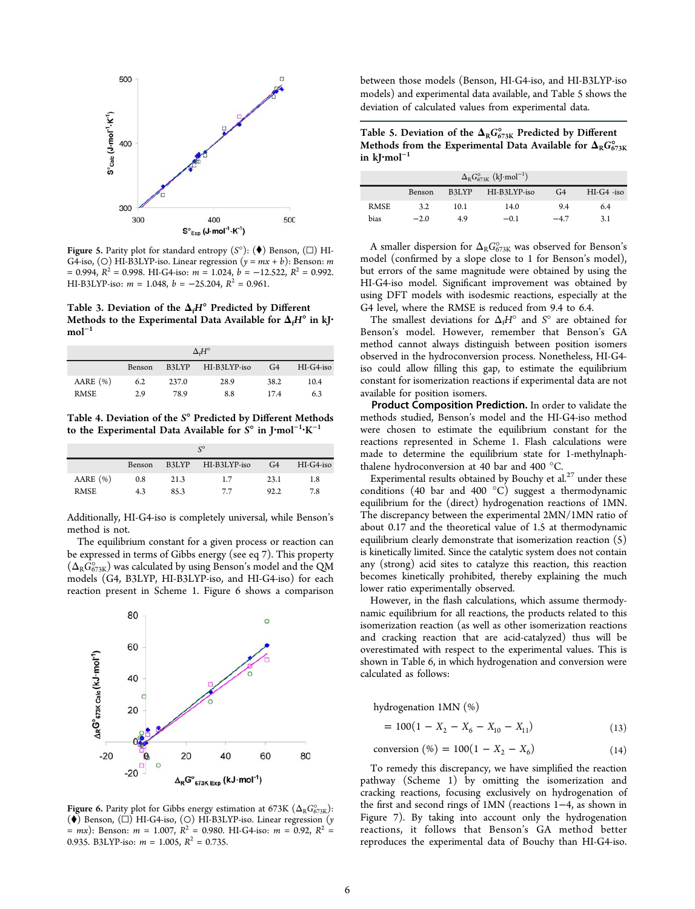

Figure 5. Parity plot for standard entropy  $(S^{\circ})$ : ( $\blacklozenge$ ) Benson,  $(\square)$  HI-G4-iso, (O) HI-B3LYP-iso. Linear regression  $(y = mx + b)$ : Benson: m  $= 0.994, R^2 = 0.998.$  HI-G4-iso:  $m = 1.024, b = -12.522, R^2 = 0.992$ . HI-B3LYP-iso:  $m = 1.048$ ,  $b = -25.204$ ,  $R^2 = 0.961$ .

Table 3. Deviation of the  $\Delta_fH^{\circ}$  Predicted by Different Methods to the Experimental Data Available for  $\Delta_f H^{\circ}$  in kJ $\cdot$  $mol<sup>-1</sup>$ 

| $\Delta H^\circ$ |        |       |              |      |             |
|------------------|--------|-------|--------------|------|-------------|
|                  | Benson | B3LYP | HI-B3LYP-iso | G4   | $HI-G4-iso$ |
| AARE $(\% )$     | 6.2    | 237.0 | 28.9         | 38.2 | 10.4        |
| RMSE             | 2.9    | 78.9  | 8.8          | 17.4 | 6.3         |

Table 4. Deviation of the S° Predicted by Different Methods to the Experimental Data Available for  $\overline{S}^\circ$  in J·mol $^{-1}\cdot$ K $^{-1}$ 

| $\mathcal{C}^{\circ}$ |        |       |              |      |             |
|-----------------------|--------|-------|--------------|------|-------------|
|                       | Benson | B3LYP | HI-B3LYP-iso | G4   | $HI-G4-iso$ |
| AARE $(\% )$          | 0.8    | 21.3  | 1.7          | 23.1 | 1.8         |
| RMSE                  | 4.3    | 85.3  | 7.7          | 92.2 | 7.8         |

Additionally, HI-G4-iso is completely universal, while Benson's method is not.

The equilibrium constant for a given process or reaction can be expressed in terms of Gibbs energy (see eq 7). This property  $(\Delta_{\rm R} G_{673K}^{\circ})$  was calculated by using Benson's model and the QM models (G4, B3LYP, HI-B3LYP-iso, and HI-G4-iso) for each reaction present in Scheme 1. Figure 6 shows a comparison



Figure 6. Parity plot for Gibbs energy estimation at 673K  $(\Delta_R G_{673K}^{\circ})$ : ( $\blacklozenge$ ) Benson, ( $\square$ ) HI-G4-iso, ( $\square$ ) HI-B3LYP-iso. Linear regression (y  $= mx$ ): Benson:  $m = 1.007$ ,  $R^2 = 0.980$ . HI-G4-iso:  $m = 0.92$ ,  $R^2 =$ 0.935. B3LYP-iso:  $m = 1.005$ ,  $R^2 = 0.735$ .

between those models (Benson, HI-G4-iso, and HI-B3LYP-iso models) and experimental data available, and Table 5 shows the deviation of calculated values from experimental data.

Table 5. Deviation of the  $\Delta_{\rm R}G_{673K}^{\circ}$  Predicted by Different Methods from the Experimental Data Available for  $\Delta_{R}G_{673K}^{\circ}$ in  $k$ J·mol<sup>-1</sup>

| $\Delta_{\rm R}$ G <sub>673K</sub> (kJ·mol <sup>-1</sup> )                     |        |      |        |      |     |
|--------------------------------------------------------------------------------|--------|------|--------|------|-----|
| $HI-G4$ -iso<br>HI-B3LYP-iso<br>G <sub>4</sub><br>B <sub>3L</sub> YP<br>Benson |        |      |        |      |     |
| <b>RMSE</b>                                                                    | 3.2    | 10.1 | 14.0   | 9.4  | 6.4 |
| bias                                                                           | $-2.0$ | 4.9  | $-0.1$ | -4.7 | 3.1 |

A smaller dispersion for  $\Delta_{\rm R} G_{673K}^{\circ}$  was observed for Benson's model (confirmed by a slope close to 1 for Benson's model), but errors of the same magnitude were obtained by using the HI-G4-iso model. Significant improvement was obtained by using DFT models with isodesmic reactions, especially at the G4 level, where the RMSE is reduced from 9.4 to 6.4.

The smallest deviations for  $\Delta_f H^{\circ}$  and  $S^{\circ}$  are obtained for Benson's model. However, remember that Benson's GA method cannot always distinguish between position isomers observed in the hydroconversion process. Nonetheless, HI-G4 iso could allow filling this gap, to estimate the equilibrium constant for isomerization reactions if experimental data are not available for position isomers.

Product Composition Prediction. In order to validate the methods studied, Benson's model and the HI-G4-iso method were chosen to estimate the equilibrium constant for the reactions represented in Scheme 1. Flash calculations were made to determine the equilibrium state for 1-methylnaphthalene hydroconversion at 40 bar and 400 °C.

Experimental results obtained by Bouchy et al.<sup>27</sup> under these conditions (40 bar and 400  $^{\circ}$ C) suggest a thermodynamic equilibrium for the (direct) hydrogenation reactions of 1MN. The discrepancy between the experimental 2MN/1MN ratio of about 0.17 and the theoretical value of 1.5 at thermodynamic equilibrium clearly demonstrate that isomerization reaction (5) is kinetically limited. Since the catalytic system does not contain any (strong) acid sites to catalyze this reaction, this reaction becomes kinetically prohibited, thereby explaining the much lower ratio experimentally observed.

However, in the flash calculations, which assume thermodynamic equilibrium for all reactions, the products related to this isomerization reaction (as well as other isomerization reactions and cracking reaction that are acid-catalyzed) thus will be overestimated with respect to the experimental values. This is shown in Table 6, in which hydrogenation and conversion were calculated as follows:

hydrogenation 1MN (%)

$$
= 100(1 - X_2 - X_6 - X_{10} - X_{11})
$$
\n(13)

$$
conversion (\%) = 100(1 - X_2 - X_6)
$$
 (14)

To remedy this discrepancy, we have simplified the reaction pathway (Scheme 1) by omitting the isomerization and cracking reactions, focusing exclusively on hydrogenation of the first and second rings of 1MN (reactions 1−4, as shown in Figure 7). By taking into account only the hydrogenation reactions, it follows that Benson's GA method better reproduces the experimental data of Bouchy than HI-G4-iso.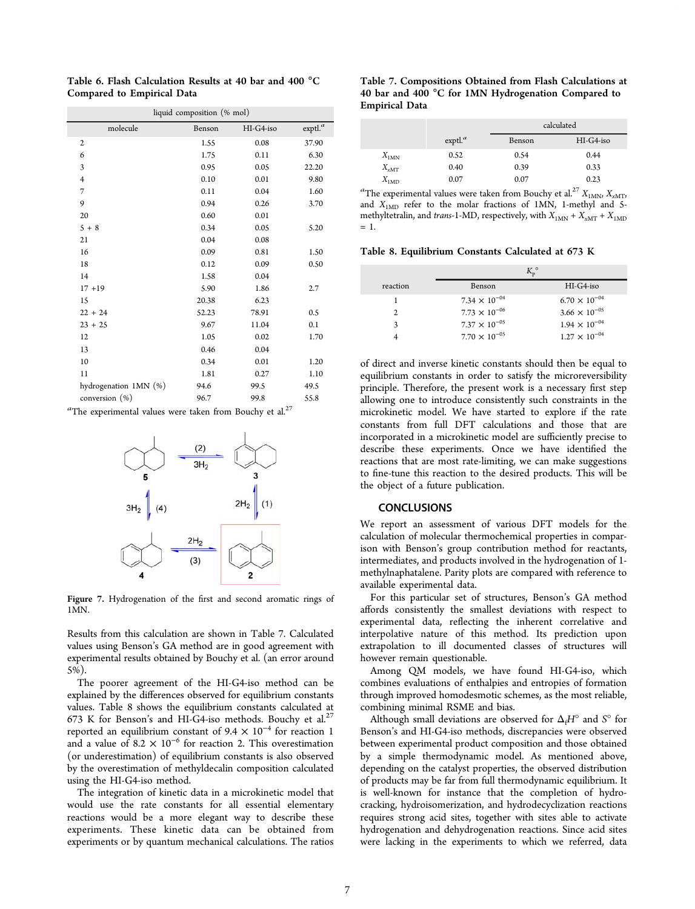| liquid composition (% mol) |        |           |                     |  |
|----------------------------|--------|-----------|---------------------|--|
| molecule                   | Benson | HI-G4-iso | $\mathsf{exptl.}^a$ |  |
| 2                          | 1.55   | 0.08      | 37.90               |  |
| 6                          | 1.75   | 0.11      | 6.30                |  |
| 3                          | 0.95   | 0.05      | 22.20               |  |
| $\overline{\mathbf{4}}$    | 0.10   | 0.01      | 9.80                |  |
| 7                          | 0.11   | 0.04      | 1.60                |  |
| 9                          | 0.94   | 0.26      | 3.70                |  |
| 20                         | 0.60   | 0.01      |                     |  |
| $5 + 8$                    | 0.34   | 0.05      | 5.20                |  |
| 21                         | 0.04   | 0.08      |                     |  |
| 16                         | 0.09   | 0.81      | 1.50                |  |
| 18                         | 0.12   | 0.09      | 0.50                |  |
| 14                         | 1.58   | 0.04      |                     |  |
| $17 + 19$                  | 5.90   | 1.86      | 2.7                 |  |
| 15                         | 20.38  | 6.23      |                     |  |
| $22 + 24$                  | 52.23  | 78.91     | 0.5                 |  |
| $23 + 25$                  | 9.67   | 11.04     | 0.1                 |  |
| 12                         | 1.05   | 0.02      | 1.70                |  |
| 13                         | 0.46   | 0.04      |                     |  |
| 10                         | 0.34   | 0.01      | 1.20                |  |
| 11                         | 1.81   | 0.27      | 1.10                |  |
| hydrogenation 1MN (%)      | 94.6   | 99.5      | 49.5                |  |
| conversion (%)             | 96.7   | 99.8      | 55.8                |  |

Table 6. Flash Calculation Results at 40 bar and 400 °C Compared to Empirical Data

 ${}^a$ The experimental values were taken from Bouchy et al.<sup>27</sup>



Figure 7. Hydrogenation of the first and second aromatic rings of 1MN.

Results from this calculation are shown in Table 7. Calculated values using Benson's GA method are in good agreement with experimental results obtained by Bouchy et al. (an error around 5%).

The poorer agreement of the HI-G4-iso method can be explained by the differences observed for equilibrium constants values. Table 8 shows the equilibrium constants calculated at 673 K for Benson's and HI-G4-iso methods. Bouchy et al. $27$ reported an equilibrium constant of 9.4 × 10<sup>−</sup><sup>4</sup> for reaction 1 and a value of 8.2  $\times$  10<sup>-6</sup> for reaction 2. This overestimation (or underestimation) of equilibrium constants is also observed by the overestimation of methyldecalin composition calculated using the HI-G4-iso method.

The integration of kinetic data in a microkinetic model that would use the rate constants for all essential elementary reactions would be a more elegant way to describe these experiments. These kinetic data can be obtained from experiments or by quantum mechanical calculations. The ratios

### Table 7. Compositions Obtained from Flash Calculations at 40 bar and 400 °C for 1MN Hydrogenation Compared to Empirical Data

|           |                     | calculated |             |
|-----------|---------------------|------------|-------------|
|           | exptl. <sup>a</sup> | Benson     | $HI-G4-iso$ |
| $X_{1MN}$ | 0.52                | 0.54       | 0.44        |
| $X_{xMT}$ | 0.40                | 0.39       | 0.33        |
| $X_{1MD}$ | 0.07                | 0.07       | 0.23        |

<sup>a</sup>The experimental values were taken from Bouchy et al.<sup>27</sup>  $X_{1\text{MN}}$ ,  $X_{\text{xMT}}$ , and  $X_{1MD}$  refer to the molar fractions of 1MN, 1-methyl and 5methyltetralin, and trans-1-MD, respectively, with  $X_{1MN} + X_{xMT} + X_{1MD}$  $= 1.$ 

Table 8. Equilibrium Constants Calculated at 673 K

|          | $K_{\scriptscriptstyle\rm e}^{\;\circ}$ |                        |
|----------|-----------------------------------------|------------------------|
| reaction | Benson                                  | HI-G4-iso              |
|          | 7.34 $\times$ 10 <sup>-04</sup>         | $6.70 \times 10^{-04}$ |
| 2        | $7.73 \times 10^{-06}$                  | $3.66 \times 10^{-05}$ |
| 3        | $7.37 \times 10^{-05}$                  | $1.94 \times 10^{-04}$ |
|          | $7.70 \times 10^{-05}$                  | $1.27 \times 10^{-04}$ |

of direct and inverse kinetic constants should then be equal to equilibrium constants in order to satisfy the microreversibility principle. Therefore, the present work is a necessary first step allowing one to introduce consistently such constraints in the microkinetic model. We have started to explore if the rate constants from full DFT calculations and those that are incorporated in a microkinetic model are sufficiently precise to describe these experiments. Once we have identified the reactions that are most rate-limiting, we can make suggestions to fine-tune this reaction to the desired products. This will be the object of a future publication.

#### **CONCLUSIONS**

We report an assessment of various DFT models for the calculation of molecular thermochemical properties in comparison with Benson's group contribution method for reactants, intermediates, and products involved in the hydrogenation of 1 methylnaphatalene. Parity plots are compared with reference to available experimental data.

For this particular set of structures, Benson's GA method affords consistently the smallest deviations with respect to experimental data, reflecting the inherent correlative and interpolative nature of this method. Its prediction upon extrapolation to ill documented classes of structures will however remain questionable.

Among QM models, we have found HI-G4-iso, which combines evaluations of enthalpies and entropies of formation through improved homodesmotic schemes, as the most reliable, combining minimal RSME and bias.

Although small deviations are observed for  $\Delta_f H^{\circ}$  and  $S^{\circ}$  for Benson's and HI-G4-iso methods, discrepancies were observed between experimental product composition and those obtained by a simple thermodynamic model. As mentioned above, depending on the catalyst properties, the observed distribution of products may be far from full thermodynamic equilibrium. It is well-known for instance that the completion of hydrocracking, hydroisomerization, and hydrodecyclization reactions requires strong acid sites, together with sites able to activate hydrogenation and dehydrogenation reactions. Since acid sites were lacking in the experiments to which we referred, data